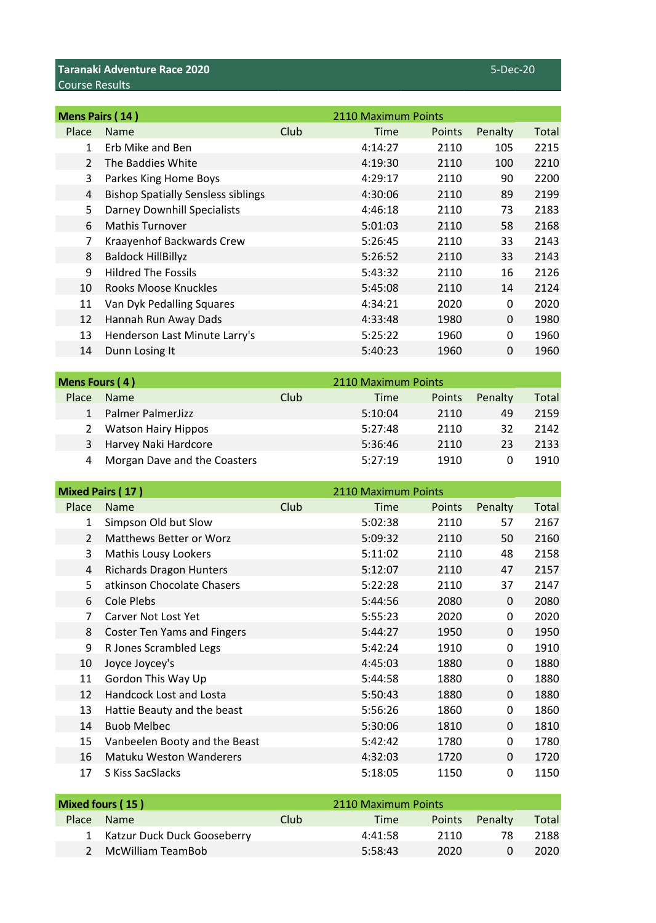|                | Mens Pairs (14)                           |      | 2110 Maximum Points |        |              |       |
|----------------|-------------------------------------------|------|---------------------|--------|--------------|-------|
| Place          | <b>Name</b>                               | Club | Time                | Points | Penalty      | Total |
| 1              | Erb Mike and Ben                          |      | 4:14:27             | 2110   | 105          | 2215  |
| $\overline{2}$ | The Baddies White                         |      | 4:19:30             | 2110   | 100          | 2210  |
| 3              | Parkes King Home Boys                     |      | 4:29:17             | 2110   | 90           | 2200  |
| 4              | <b>Bishop Spatially Sensless siblings</b> |      | 4:30:06             | 2110   | 89           | 2199  |
| 5              | <b>Darney Downhill Specialists</b>        |      | 4:46:18             | 2110   | 73           | 2183  |
| 6              | <b>Mathis Turnover</b>                    |      | 5:01:03             | 2110   | 58           | 2168  |
| 7              | Kraayenhof Backwards Crew                 |      | 5:26:45             | 2110   | 33           | 2143  |
| 8              | <b>Baldock HillBillyz</b>                 |      | 5:26:52             | 2110   | 33           | 2143  |
| 9              | <b>Hildred The Fossils</b>                |      | 5:43:32             | 2110   | 16           | 2126  |
| 10             | Rooks Moose Knuckles                      |      | 5:45:08             | 2110   | 14           | 2124  |
| 11             | Van Dyk Pedalling Squares                 |      | 4:34:21             | 2020   | 0            | 2020  |
| 12             | Hannah Run Away Dads                      |      | 4:33:48             | 1980   | $\mathbf{0}$ | 1980  |
| 13             | Henderson Last Minute Larry's             |      | 5:25:22             | 1960   | $\mathbf{0}$ | 1960  |
| 14             | Dunn Losing It                            |      | 5:40:23             | 1960   | 0            | 1960  |
|                |                                           |      |                     |        |              |       |

| Mens Fours (4) |                              |             | 2110 Maximum Points |               |         |       |
|----------------|------------------------------|-------------|---------------------|---------------|---------|-------|
| Place          | <b>Name</b>                  | <b>Club</b> | <b>Time</b>         | <b>Points</b> | Penalty | Total |
|                | Palmer PalmerJizz            |             | 5:10:04             | 2110          | 49      | 2159  |
|                | <b>Watson Hairy Hippos</b>   |             | 5:27:48             | 2110          | 32      | 2142  |
| 3              | Harvey Naki Hardcore         |             | 5:36:46             | 2110          | 23      | 2133  |
| 4              | Morgan Dave and the Coasters |             | 5:27:19             | 1910          |         | 1910  |

|                | <b>Mixed Pairs (17)</b>            |      | 2110 Maximum Points |        |              |       |
|----------------|------------------------------------|------|---------------------|--------|--------------|-------|
| Place          | <b>Name</b>                        | Club | Time                | Points | Penalty      | Total |
| 1              | Simpson Old but Slow               |      | 5:02:38             | 2110   | 57           | 2167  |
| $\overline{2}$ | Matthews Better or Worz            |      | 5:09:32             | 2110   | 50           | 2160  |
| 3              | Mathis Lousy Lookers               |      | 5:11:02             | 2110   | 48           | 2158  |
| 4              | <b>Richards Dragon Hunters</b>     |      | 5:12:07             | 2110   | 47           | 2157  |
| 5              | atkinson Chocolate Chasers         |      | 5:22:28             | 2110   | 37           | 2147  |
| 6              | Cole Plebs                         |      | 5:44:56             | 2080   | $\Omega$     | 2080  |
| 7              | Carver Not Lost Yet                |      | 5:55:23             | 2020   | $\Omega$     | 2020  |
| 8              | <b>Coster Ten Yams and Fingers</b> |      | 5:44:27             | 1950   | $\Omega$     | 1950  |
| 9              | R Jones Scrambled Legs             |      | 5:42:24             | 1910   | $\Omega$     | 1910  |
| 10             | Joyce Joycey's                     |      | 4:45:03             | 1880   | $\Omega$     | 1880  |
| 11             | Gordon This Way Up                 |      | 5:44:58             | 1880   | 0            | 1880  |
| 12             | Handcock Lost and Losta            |      | 5:50:43             | 1880   | $\Omega$     | 1880  |
| 13             | Hattie Beauty and the beast        |      | 5:56:26             | 1860   | 0            | 1860  |
| 14             | <b>Buob Melbec</b>                 |      | 5:30:06             | 1810   | $\Omega$     | 1810  |
| 15             | Vanbeelen Booty and the Beast      |      | 5:42:42             | 1780   | $\mathbf{0}$ | 1780  |
| 16             | <b>Matuku Weston Wanderers</b>     |      | 4:32:03             | 1720   | $\Omega$     | 1720  |
| 17             | S Kiss SacSlacks                   |      | 5:18:05             | 1150   | 0            | 1150  |

| Mixed fours (15) |                               | 2110 Maximum Points |             |      |                       |       |
|------------------|-------------------------------|---------------------|-------------|------|-----------------------|-------|
| <b>Place</b>     | <b>Name</b>                   | Club                | <b>Time</b> |      | <b>Points</b> Penalty | Total |
|                  | 1 Katzur Duck Duck Gooseberry |                     | 4:41:58     | 2110 | 78                    | 2188  |
|                  | 2 McWilliam TeamBob           |                     | 5:58:43     | 2020 |                       | 2020  |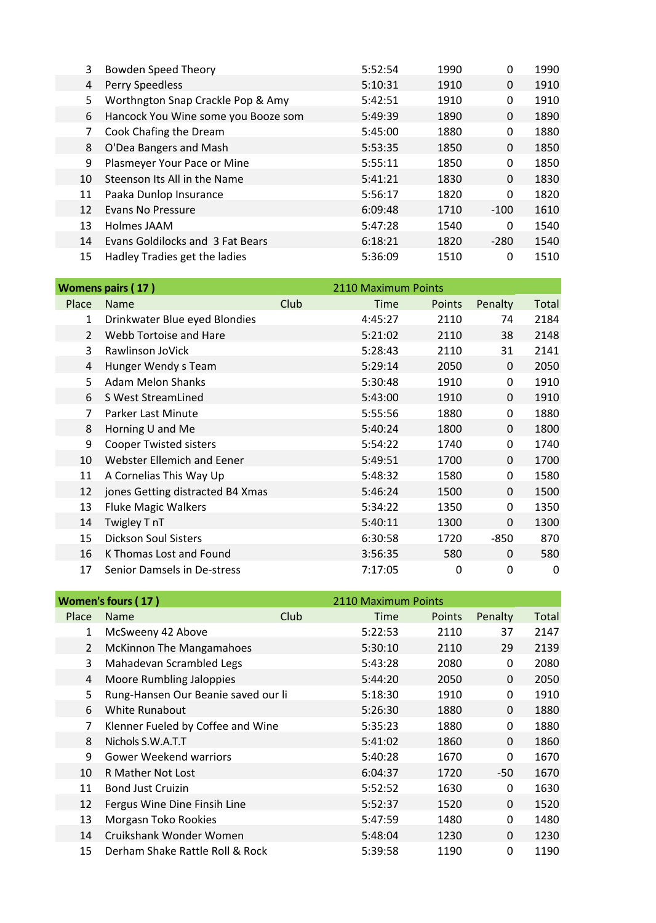| 3  | <b>Bowden Speed Theory</b>          | 5:52:54 | 1990 | 0      | 1990 |
|----|-------------------------------------|---------|------|--------|------|
| 4  | Perry Speedless                     | 5:10:31 | 1910 | 0      | 1910 |
| 5  | Worthngton Snap Crackle Pop & Amy   | 5:42:51 | 1910 | 0      | 1910 |
| 6  | Hancock You Wine some you Booze som | 5:49:39 | 1890 | 0      | 1890 |
| 7  | Cook Chafing the Dream              | 5:45:00 | 1880 | 0      | 1880 |
| 8  | O'Dea Bangers and Mash              | 5:53:35 | 1850 | 0      | 1850 |
| 9  | Plasmeyer Your Pace or Mine         | 5:55:11 | 1850 | 0      | 1850 |
| 10 | Steenson Its All in the Name        | 5:41:21 | 1830 | 0      | 1830 |
| 11 | Paaka Dunlop Insurance              | 5:56:17 | 1820 | 0      | 1820 |
| 12 | <b>Evans No Pressure</b>            | 6:09:48 | 1710 | $-100$ | 1610 |
| 13 | Holmes JAAM                         | 5:47:28 | 1540 | 0      | 1540 |
| 14 | Evans Goldilocks and 3 Fat Bears    | 6:18:21 | 1820 | $-280$ | 1540 |
| 15 | Hadley Tradies get the ladies       | 5:36:09 | 1510 | 0      | 1510 |

|                | <b>Womens pairs (17)</b>         |      | 2110 Maximum Points |        |          |       |
|----------------|----------------------------------|------|---------------------|--------|----------|-------|
| Place          | <b>Name</b>                      | Club | Time                | Points | Penalty  | Total |
| 1              | Drinkwater Blue eyed Blondies    |      | 4:45:27             | 2110   | 74       | 2184  |
| $\overline{2}$ | Webb Tortoise and Hare           |      | 5:21:02             | 2110   | 38       | 2148  |
| 3              | Rawlinson JoVick                 |      | 5:28:43             | 2110   | 31       | 2141  |
| 4              | Hunger Wendy s Team              |      | 5:29:14             | 2050   | $\Omega$ | 2050  |
| 5              | Adam Melon Shanks                |      | 5:30:48             | 1910   | $\Omega$ | 1910  |
| 6              | S West StreamLined               |      | 5:43:00             | 1910   | $\Omega$ | 1910  |
| 7              | Parker Last Minute               |      | 5:55:56             | 1880   | 0        | 1880  |
| 8              | Horning U and Me                 |      | 5:40:24             | 1800   | $\Omega$ | 1800  |
| 9              | <b>Cooper Twisted sisters</b>    |      | 5:54:22             | 1740   | 0        | 1740  |
| 10             | Webster Ellemich and Eener       |      | 5:49:51             | 1700   | $\Omega$ | 1700  |
| 11             | A Cornelias This Way Up          |      | 5:48:32             | 1580   | $\Omega$ | 1580  |
| 12             | jones Getting distracted B4 Xmas |      | 5:46:24             | 1500   | $\Omega$ | 1500  |
| 13             | <b>Fluke Magic Walkers</b>       |      | 5:34:22             | 1350   | 0        | 1350  |
| 14             | Twigley T nT                     |      | 5:40:11             | 1300   | $\Omega$ | 1300  |
| 15             | <b>Dickson Soul Sisters</b>      |      | 6:30:58             | 1720   | $-850$   | 870   |
| 16             | K Thomas Lost and Found          |      | 3:56:35             | 580    | $\Omega$ | 580   |
| 17             | Senior Damsels in De-stress      |      | 7:17:05             | 0      | 0        | 0     |

|                | Women's fours (17)                  |             | 2110 Maximum Points |              |              |
|----------------|-------------------------------------|-------------|---------------------|--------------|--------------|
| Place          | Club<br><b>Name</b>                 | <b>Time</b> | <b>Points</b>       | Penalty      | <b>Total</b> |
| 1              | McSweeny 42 Above                   | 5:22:53     | 2110                | 37           | 2147         |
| $\overline{2}$ | <b>McKinnon The Mangamahoes</b>     | 5:30:10     | 2110                | 29           | 2139         |
| 3              | Mahadevan Scrambled Legs            | 5:43:28     | 2080                | 0            | 2080         |
| 4              | Moore Rumbling Jaloppies            | 5:44:20     | 2050                | $\mathbf{0}$ | 2050         |
| 5              | Rung-Hansen Our Beanie saved our li | 5:18:30     | 1910                | $\mathbf{0}$ | 1910         |
| 6              | <b>White Runabout</b>               | 5:26:30     | 1880                | 0            | 1880         |
| 7              | Klenner Fueled by Coffee and Wine   | 5:35:23     | 1880                | $\mathbf{0}$ | 1880         |
| 8              | Nichols S.W.A.T.T                   | 5:41:02     | 1860                | 0            | 1860         |
| 9              | <b>Gower Weekend warriors</b>       | 5:40:28     | 1670                | $\mathbf{0}$ | 1670         |
| 10             | R Mather Not Lost                   | 6:04:37     | 1720                | -50          | 1670         |
| 11             | <b>Bond Just Cruizin</b>            | 5:52:52     | 1630                | $\mathbf{0}$ | 1630         |
| 12             | Fergus Wine Dine Finsih Line        | 5:52:37     | 1520                | $\Omega$     | 1520         |
| 13             | Morgasn Toko Rookies                | 5:47:59     | 1480                | 0            | 1480         |
| 14             | Cruikshank Wonder Women             | 5:48:04     | 1230                | $\Omega$     | 1230         |
| 15             | Derham Shake Rattle Roll & Rock     | 5:39:58     | 1190                | 0            | 1190         |